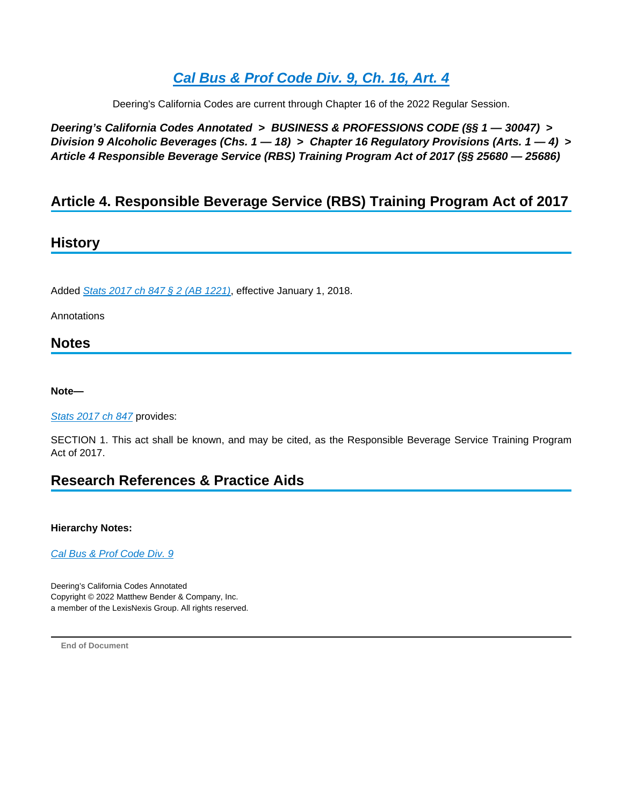# **[Cal Bus & Prof Code Div. 9, Ch. 16, Art. 4](https://advance.lexis.com/api/document?collection=statutes-legislation&id=urn:contentItem:8NWK-47F2-8T6X-71P5-00000-00&context=1000516)**

Deering's California Codes are current through Chapter 16 of the 2022 Regular Session.

**Deering's California Codes Annotated > BUSINESS & PROFESSIONS CODE (§§ 1 — 30047) > Division 9 Alcoholic Beverages (Chs. 1 — 18) > Chapter 16 Regulatory Provisions (Arts. 1 — 4) > Article 4 Responsible Beverage Service (RBS) Training Program Act of 2017 (§§ 25680 — 25686)**

# **Article 4. Responsible Beverage Service (RBS) Training Program Act of 2017**

# **History**

Added [Stats 2017 ch 847 § 2 \(AB 1221\)](https://advance.lexis.com/api/document?collection=statutes-legislation&id=urn:contentItem:5PRC-C531-JYYX-64HS-00000-00&context=1000516), effective January 1, 2018.

Annotations

### **Notes**

**Note—**

### [Stats 2017 ch 847](https://advance.lexis.com/api/document?collection=statutes-legislation&id=urn:contentItem:5PRC-C531-JYYX-64HS-00000-00&context=1000516) provides:

SECTION 1. This act shall be known, and may be cited, as the Responsible Beverage Service Training Program Act of 2017.

# **Research References & Practice Aids**

#### **Hierarchy Notes:**

[Cal Bus & Prof Code Div. 9](https://advance.lexis.com/api/document?collection=statutes-legislation&id=urn:contentItem:8TDY-02B2-8T6X-74GM-00000-00&context=1000516)

Deering's California Codes Annotated Copyright © 2022 Matthew Bender & Company, Inc. a member of the LexisNexis Group. All rights reserved.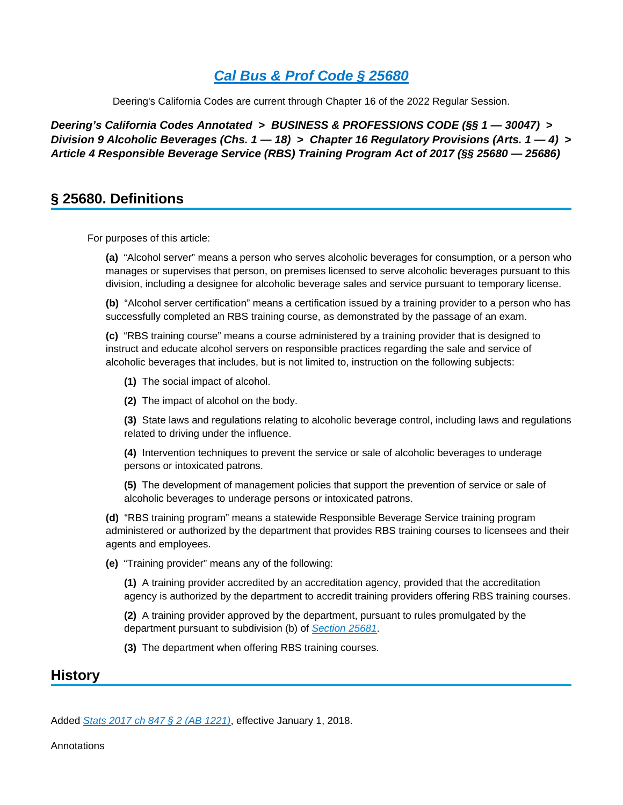Deering's California Codes are current through Chapter 16 of the 2022 Regular Session.

**Deering's California Codes Annotated > BUSINESS & PROFESSIONS CODE (§§ 1 — 30047) > Division 9 Alcoholic Beverages (Chs. 1 — 18) > Chapter 16 Regulatory Provisions (Arts. 1 — 4) > Article 4 Responsible Beverage Service (RBS) Training Program Act of 2017 (§§ 25680 — 25686)**

# **§ 25680. Definitions**

For purposes of this article:

**(a)** "Alcohol server" means a person who serves alcoholic beverages for consumption, or a person who manages or supervises that person, on premises licensed to serve alcoholic beverages pursuant to this division, including a designee for alcoholic beverage sales and service pursuant to temporary license.

**(b)** "Alcohol server certification" means a certification issued by a training provider to a person who has successfully completed an RBS training course, as demonstrated by the passage of an exam.

**(c)** "RBS training course" means a course administered by a training provider that is designed to instruct and educate alcohol servers on responsible practices regarding the sale and service of alcoholic beverages that includes, but is not limited to, instruction on the following subjects:

- **(1)** The social impact of alcohol.
- **(2)** The impact of alcohol on the body.

**(3)** State laws and regulations relating to alcoholic beverage control, including laws and regulations related to driving under the influence.

**(4)** Intervention techniques to prevent the service or sale of alcoholic beverages to underage persons or intoxicated patrons.

**(5)** The development of management policies that support the prevention of service or sale of alcoholic beverages to underage persons or intoxicated patrons.

**(d)** "RBS training program" means a statewide Responsible Beverage Service training program administered or authorized by the department that provides RBS training courses to licensees and their agents and employees.

**(e)** "Training provider" means any of the following:

**(1)** A training provider accredited by an accreditation agency, provided that the accreditation agency is authorized by the department to accredit training providers offering RBS training courses.

**(2)** A training provider approved by the department, pursuant to rules promulgated by the department pursuant to subdivision (b) of [Section 25681](https://advance.lexis.com/api/document?collection=statutes-legislation&id=urn:contentItem:8NWK-47F2-8T6X-71P9-00000-00&context=1000516).

**(3)** The department when offering RBS training courses.

### **History**

Added [Stats 2017 ch 847 § 2 \(AB 1221\)](https://advance.lexis.com/api/document?collection=statutes-legislation&id=urn:contentItem:5PRC-C531-JYYX-64HS-00000-00&context=1000516), effective January 1, 2018.

Annotations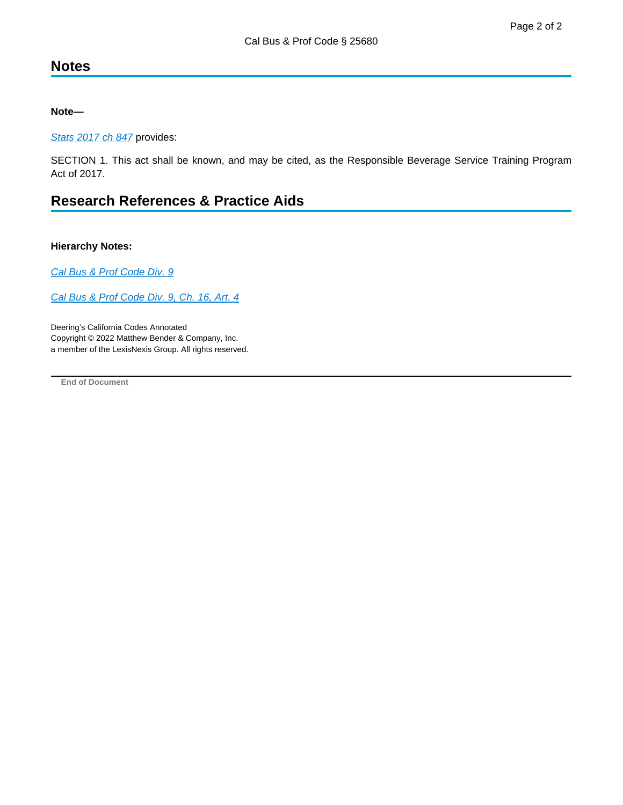# **Notes**

**Note—**

[Stats 2017 ch 847](https://advance.lexis.com/api/document?collection=statutes-legislation&id=urn:contentItem:5PRC-C531-JYYX-64HS-00000-00&context=1000516) provides:

SECTION 1. This act shall be known, and may be cited, as the Responsible Beverage Service Training Program Act of 2017.

# **Research References & Practice Aids**

#### **Hierarchy Notes:**

[Cal Bus & Prof Code Div. 9](https://advance.lexis.com/api/document?collection=statutes-legislation&id=urn:contentItem:8TDY-02B2-8T6X-74GM-00000-00&context=1000516)

[Cal Bus & Prof Code Div. 9, Ch. 16, Art. 4](https://advance.lexis.com/api/document?collection=statutes-legislation&id=urn:contentItem:8NWK-47F2-8T6X-71P5-00000-00&context=1000516)

Deering's California Codes Annotated Copyright © 2022 Matthew Bender & Company, Inc. a member of the LexisNexis Group. All rights reserved.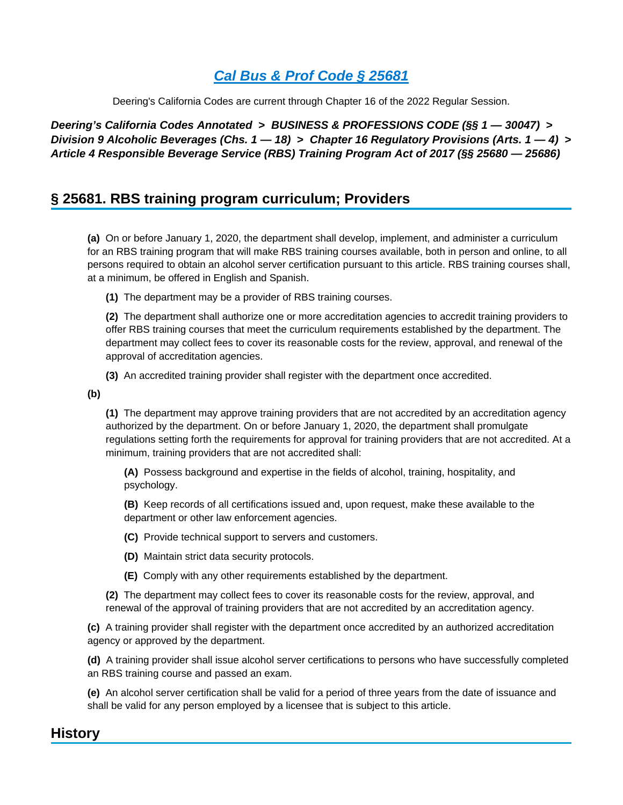Deering's California Codes are current through Chapter 16 of the 2022 Regular Session.

**Deering's California Codes Annotated > BUSINESS & PROFESSIONS CODE (§§ 1 — 30047) > Division 9 Alcoholic Beverages (Chs. 1 — 18) > Chapter 16 Regulatory Provisions (Arts. 1 — 4) > Article 4 Responsible Beverage Service (RBS) Training Program Act of 2017 (§§ 25680 — 25686)**

# **§ 25681. RBS training program curriculum; Providers**

**(a)** On or before January 1, 2020, the department shall develop, implement, and administer a curriculum for an RBS training program that will make RBS training courses available, both in person and online, to all persons required to obtain an alcohol server certification pursuant to this article. RBS training courses shall, at a minimum, be offered in English and Spanish.

**(1)** The department may be a provider of RBS training courses.

**(2)** The department shall authorize one or more accreditation agencies to accredit training providers to offer RBS training courses that meet the curriculum requirements established by the department. The department may collect fees to cover its reasonable costs for the review, approval, and renewal of the approval of accreditation agencies.

**(3)** An accredited training provider shall register with the department once accredited.

**(b)** 

**(1)** The department may approve training providers that are not accredited by an accreditation agency authorized by the department. On or before January 1, 2020, the department shall promulgate regulations setting forth the requirements for approval for training providers that are not accredited. At a minimum, training providers that are not accredited shall:

**(A)** Possess background and expertise in the fields of alcohol, training, hospitality, and psychology.

**(B)** Keep records of all certifications issued and, upon request, make these available to the department or other law enforcement agencies.

- **(C)** Provide technical support to servers and customers.
- **(D)** Maintain strict data security protocols.
- **(E)** Comply with any other requirements established by the department.
- **(2)** The department may collect fees to cover its reasonable costs for the review, approval, and renewal of the approval of training providers that are not accredited by an accreditation agency.

**(c)** A training provider shall register with the department once accredited by an authorized accreditation agency or approved by the department.

**(d)** A training provider shall issue alcohol server certifications to persons who have successfully completed an RBS training course and passed an exam.

**(e)** An alcohol server certification shall be valid for a period of three years from the date of issuance and shall be valid for any person employed by a licensee that is subject to this article.

# **History**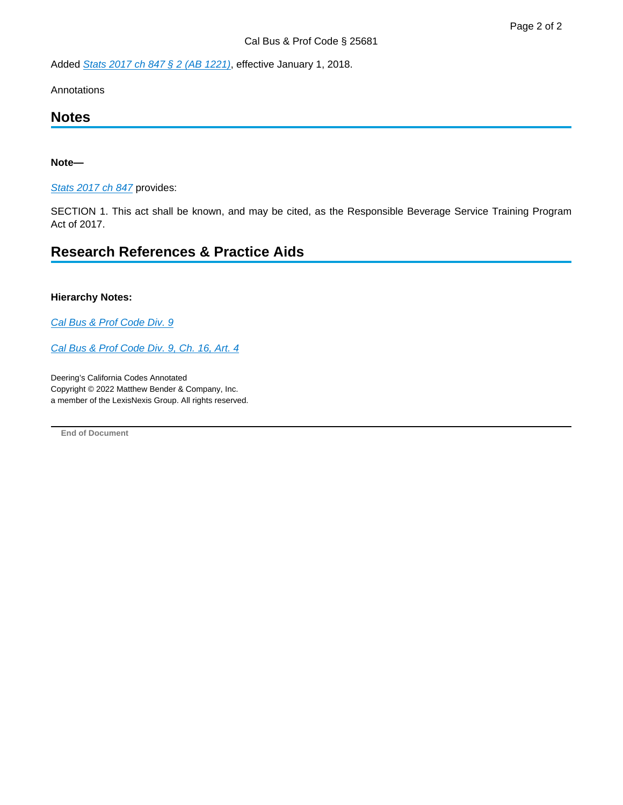Added [Stats 2017 ch 847 § 2 \(AB 1221\)](https://advance.lexis.com/api/document?collection=statutes-legislation&id=urn:contentItem:5PRC-C531-JYYX-64HS-00000-00&context=1000516), effective January 1, 2018.

Annotations

### **Notes**

#### **Note—**

[Stats 2017 ch 847](https://advance.lexis.com/api/document?collection=statutes-legislation&id=urn:contentItem:5PRC-C531-JYYX-64HS-00000-00&context=1000516) provides:

SECTION 1. This act shall be known, and may be cited, as the Responsible Beverage Service Training Program Act of 2017.

### **Research References & Practice Aids**

#### **Hierarchy Notes:**

[Cal Bus & Prof Code Div. 9](https://advance.lexis.com/api/document?collection=statutes-legislation&id=urn:contentItem:8TDY-02B2-8T6X-74GM-00000-00&context=1000516)

[Cal Bus & Prof Code Div. 9, Ch. 16, Art. 4](https://advance.lexis.com/api/document?collection=statutes-legislation&id=urn:contentItem:8NWK-47F2-8T6X-71P5-00000-00&context=1000516)

Deering's California Codes Annotated Copyright © 2022 Matthew Bender & Company, Inc. a member of the LexisNexis Group. All rights reserved.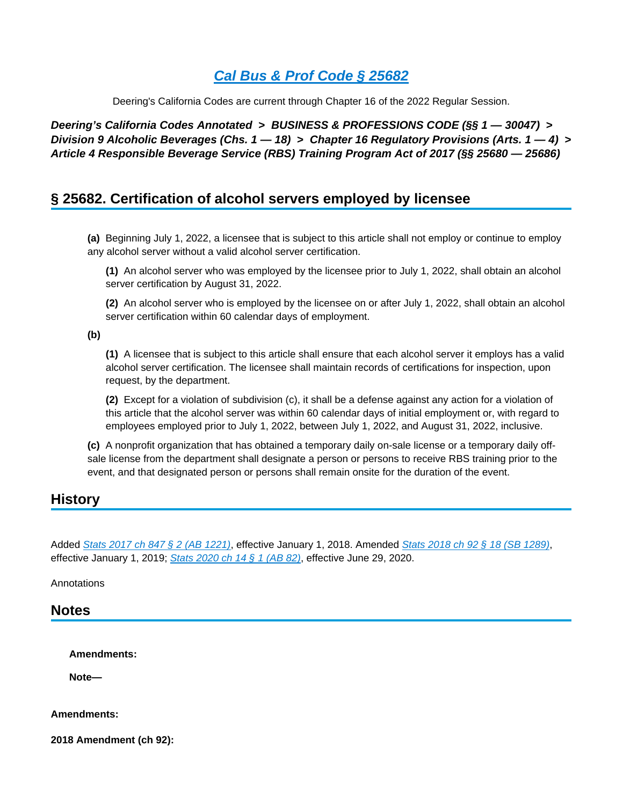Deering's California Codes are current through Chapter 16 of the 2022 Regular Session.

**Deering's California Codes Annotated > BUSINESS & PROFESSIONS CODE (§§ 1 — 30047) > Division 9 Alcoholic Beverages (Chs. 1 — 18) > Chapter 16 Regulatory Provisions (Arts. 1 — 4) > Article 4 Responsible Beverage Service (RBS) Training Program Act of 2017 (§§ 25680 — 25686)**

## **§ 25682. Certification of alcohol servers employed by licensee**

**(a)** Beginning July 1, 2022, a licensee that is subject to this article shall not employ or continue to employ any alcohol server without a valid alcohol server certification.

**(1)** An alcohol server who was employed by the licensee prior to July 1, 2022, shall obtain an alcohol server certification by August 31, 2022.

**(2)** An alcohol server who is employed by the licensee on or after July 1, 2022, shall obtain an alcohol server certification within 60 calendar days of employment.

**(b)** 

**(1)** A licensee that is subject to this article shall ensure that each alcohol server it employs has a valid alcohol server certification. The licensee shall maintain records of certifications for inspection, upon request, by the department.

**(2)** Except for a violation of subdivision (c), it shall be a defense against any action for a violation of this article that the alcohol server was within 60 calendar days of initial employment or, with regard to employees employed prior to July 1, 2022, between July 1, 2022, and August 31, 2022, inclusive.

**(c)** A nonprofit organization that has obtained a temporary daily on-sale license or a temporary daily offsale license from the department shall designate a person or persons to receive RBS training prior to the event, and that designated person or persons shall remain onsite for the duration of the event.

# **History**

Added [Stats 2017 ch 847 § 2 \(AB 1221\)](https://advance.lexis.com/api/document?collection=statutes-legislation&id=urn:contentItem:5PRC-C531-JYYX-64HS-00000-00&context=1000516), effective January 1, 2018. Amended [Stats 2018 ch 92 § 18 \(SB 1289\)](https://advance.lexis.com/api/document?collection=statutes-legislation&id=urn:contentItem:5SSD-7MK1-DXHD-G1R8-00000-00&context=1000516), effective January 1, 2019; [Stats 2020 ch 14 § 1 \(AB 82\)](https://advance.lexis.com/api/document?collection=statutes-legislation&id=urn:contentItem:6085-NH11-JJK6-S0WX-00000-00&context=1000516), effective June 29, 2020.

Annotations

### **Notes**

**Amendments:**

**Note—**

**Amendments:**

**2018 Amendment (ch 92):**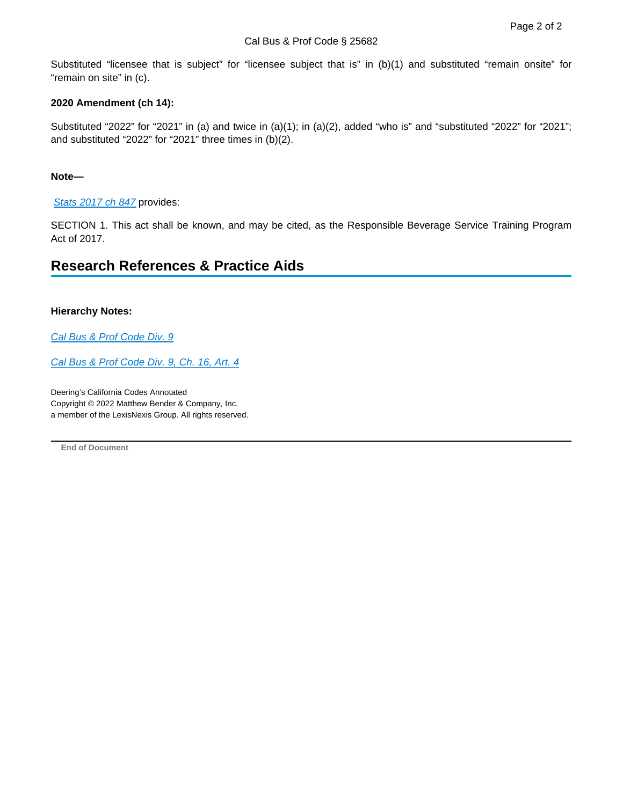Substituted "licensee that is subject" for "licensee subject that is" in (b)(1) and substituted "remain onsite" for "remain on site" in (c).

#### **2020 Amendment (ch 14):**

Substituted "2022" for "2021" in (a) and twice in (a)(1); in (a)(2), added "who is" and "substituted "2022" for "2021"; and substituted "2022" for "2021" three times in (b)(2).

#### **Note—**

[Stats 2017 ch 847](https://advance.lexis.com/api/document?collection=statutes-legislation&id=urn:contentItem:5PRC-C531-JYYX-64HS-00000-00&context=1000516) provides:

SECTION 1. This act shall be known, and may be cited, as the Responsible Beverage Service Training Program Act of 2017.

# **Research References & Practice Aids**

#### **Hierarchy Notes:**

[Cal Bus & Prof Code Div. 9](https://advance.lexis.com/api/document?collection=statutes-legislation&id=urn:contentItem:8TDY-02B2-8T6X-74GM-00000-00&context=1000516)

[Cal Bus & Prof Code Div. 9, Ch. 16, Art. 4](https://advance.lexis.com/api/document?collection=statutes-legislation&id=urn:contentItem:8NWK-47F2-8T6X-71P5-00000-00&context=1000516)

Deering's California Codes Annotated Copyright © 2022 Matthew Bender & Company, Inc. a member of the LexisNexis Group. All rights reserved.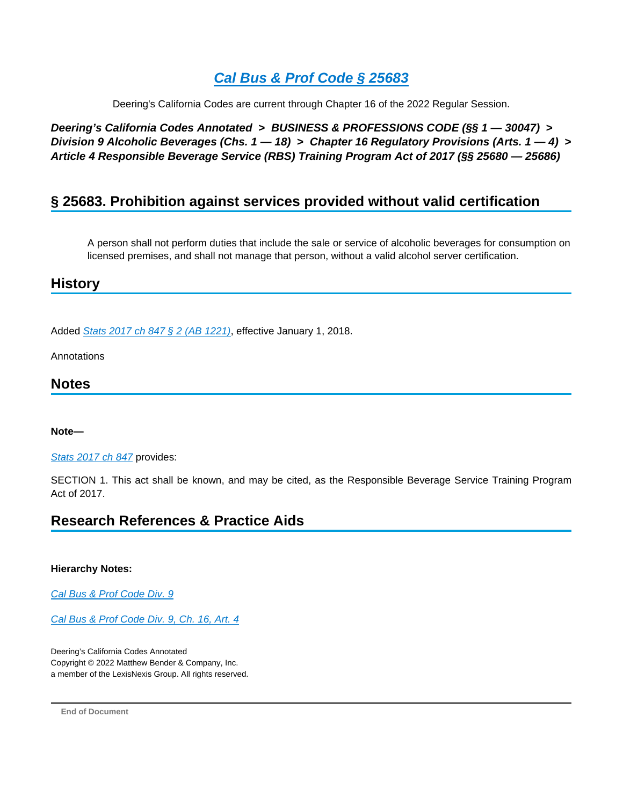Deering's California Codes are current through Chapter 16 of the 2022 Regular Session.

**Deering's California Codes Annotated > BUSINESS & PROFESSIONS CODE (§§ 1 — 30047) > Division 9 Alcoholic Beverages (Chs. 1 — 18) > Chapter 16 Regulatory Provisions (Arts. 1 — 4) > Article 4 Responsible Beverage Service (RBS) Training Program Act of 2017 (§§ 25680 — 25686)**

# **§ 25683. Prohibition against services provided without valid certification**

A person shall not perform duties that include the sale or service of alcoholic beverages for consumption on licensed premises, and shall not manage that person, without a valid alcohol server certification.

### **History**

Added [Stats 2017 ch 847 § 2 \(AB 1221\)](https://advance.lexis.com/api/document?collection=statutes-legislation&id=urn:contentItem:5PRC-C531-JYYX-64HS-00000-00&context=1000516), effective January 1, 2018.

Annotations

### **Notes**

#### **Note—**

[Stats 2017 ch 847](https://advance.lexis.com/api/document?collection=statutes-legislation&id=urn:contentItem:5PRC-C531-JYYX-64HS-00000-00&context=1000516) provides:

SECTION 1. This act shall be known, and may be cited, as the Responsible Beverage Service Training Program Act of 2017.

# **Research References & Practice Aids**

#### **Hierarchy Notes:**

[Cal Bus & Prof Code Div. 9](https://advance.lexis.com/api/document?collection=statutes-legislation&id=urn:contentItem:8TDY-02B2-8T6X-74GM-00000-00&context=1000516)

[Cal Bus & Prof Code Div. 9, Ch. 16, Art. 4](https://advance.lexis.com/api/document?collection=statutes-legislation&id=urn:contentItem:8NWK-47F2-8T6X-71P5-00000-00&context=1000516)

Deering's California Codes Annotated Copyright © 2022 Matthew Bender & Company, Inc. a member of the LexisNexis Group. All rights reserved.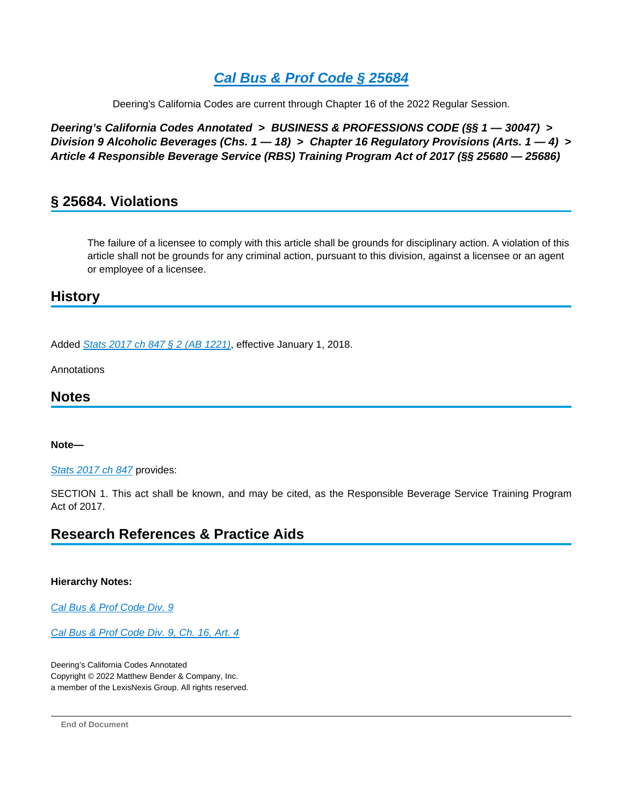Deering's California Codes are current through Chapter 16 of the 2022 Regular Session.

**Deering's California Codes Annotated > BUSINESS & PROFESSIONS CODE (§§ 1 — 30047) > Division 9 Alcoholic Beverages (Chs. 1 — 18) > Chapter 16 Regulatory Provisions (Arts. 1 — 4) > Article 4 Responsible Beverage Service (RBS) Training Program Act of 2017 (§§ 25680 — 25686)**

# **§ 25684. Violations**

The failure of a licensee to comply with this article shall be grounds for disciplinary action. A violation of this article shall not be grounds for any criminal action, pursuant to this division, against a licensee or an agent or employee of a licensee.

### **History**

Added [Stats 2017 ch 847 § 2 \(AB 1221\)](https://advance.lexis.com/api/document?collection=statutes-legislation&id=urn:contentItem:5PRC-C531-JYYX-64HS-00000-00&context=1000516), effective January 1, 2018.

Annotations

### **Notes**

### **Note—**

[Stats 2017 ch 847](https://advance.lexis.com/api/document?collection=statutes-legislation&id=urn:contentItem:5PRC-C531-JYYX-64HS-00000-00&context=1000516) provides:

SECTION 1. This act shall be known, and may be cited, as the Responsible Beverage Service Training Program Act of 2017.

# **Research References & Practice Aids**

### **Hierarchy Notes:**

[Cal Bus & Prof Code Div. 9](https://advance.lexis.com/api/document?collection=statutes-legislation&id=urn:contentItem:8TDY-02B2-8T6X-74GM-00000-00&context=1000516)

[Cal Bus & Prof Code Div. 9, Ch. 16, Art. 4](https://advance.lexis.com/api/document?collection=statutes-legislation&id=urn:contentItem:8NWK-47F2-8T6X-71P5-00000-00&context=1000516)

Deering's California Codes Annotated Copyright © 2022 Matthew Bender & Company, Inc. a member of the LexisNexis Group. All rights reserved.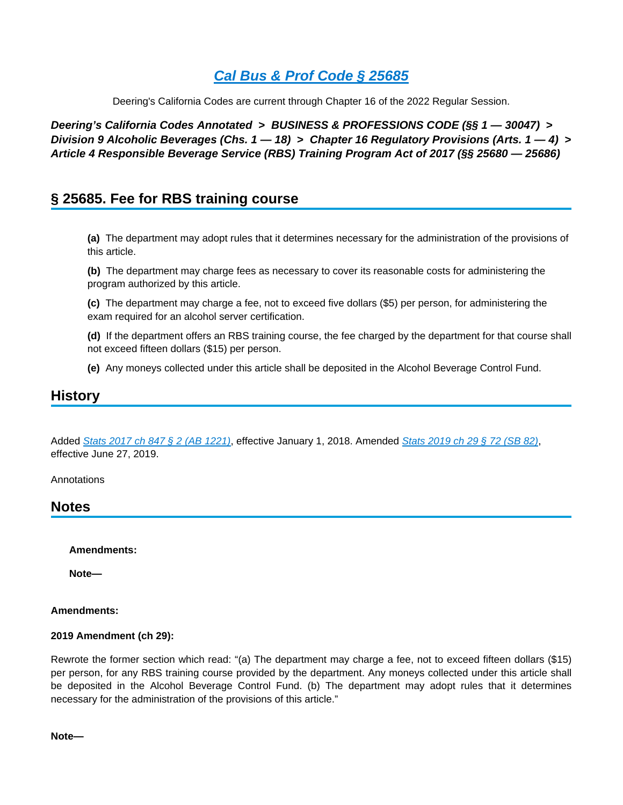Deering's California Codes are current through Chapter 16 of the 2022 Regular Session.

**Deering's California Codes Annotated > BUSINESS & PROFESSIONS CODE (§§ 1 — 30047) > Division 9 Alcoholic Beverages (Chs. 1 — 18) > Chapter 16 Regulatory Provisions (Arts. 1 — 4) > Article 4 Responsible Beverage Service (RBS) Training Program Act of 2017 (§§ 25680 — 25686)**

## **§ 25685. Fee for RBS training course**

**(a)** The department may adopt rules that it determines necessary for the administration of the provisions of this article.

**(b)** The department may charge fees as necessary to cover its reasonable costs for administering the program authorized by this article.

**(c)** The department may charge a fee, not to exceed five dollars (\$5) per person, for administering the exam required for an alcohol server certification.

**(d)** If the department offers an RBS training course, the fee charged by the department for that course shall not exceed fifteen dollars (\$15) per person.

**(e)** Any moneys collected under this article shall be deposited in the Alcohol Beverage Control Fund.

### **History**

Added [Stats 2017 ch 847 § 2 \(AB 1221\)](https://advance.lexis.com/api/document?collection=statutes-legislation&id=urn:contentItem:5PRC-C531-JYYX-64HS-00000-00&context=1000516), effective January 1, 2018. Amended [Stats 2019 ch 29 § 72 \(SB 82\)](https://advance.lexis.com/api/document?collection=statutes-legislation&id=urn:contentItem:5WG1-PXP1-JWJ0-G564-00000-00&context=1000516), effective June 27, 2019.

Annotations

### **Notes**

**Amendments:**

**Note—**

#### **Amendments:**

#### **2019 Amendment (ch 29):**

Rewrote the former section which read: "(a) The department may charge a fee, not to exceed fifteen dollars (\$15) per person, for any RBS training course provided by the department. Any moneys collected under this article shall be deposited in the Alcohol Beverage Control Fund. (b) The department may adopt rules that it determines necessary for the administration of the provisions of this article."

**Note—**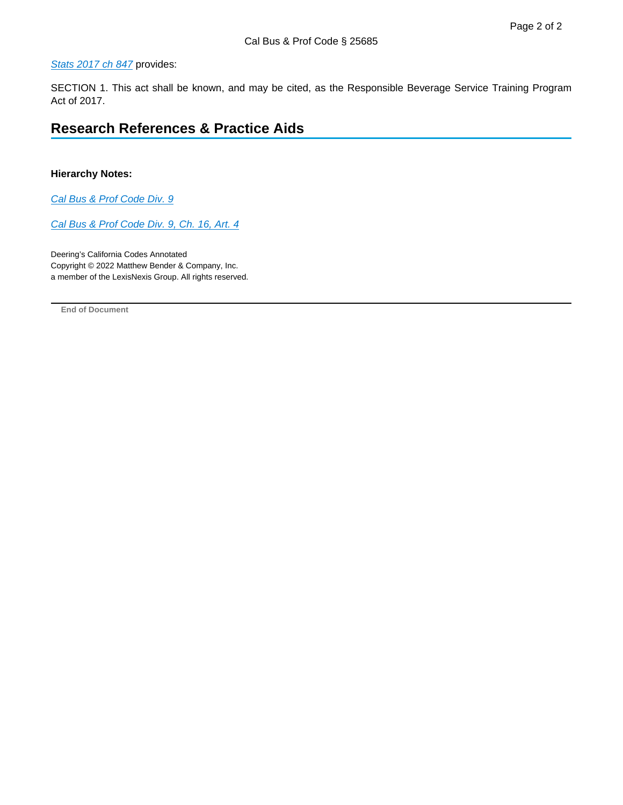#### [Stats 2017 ch 847](https://advance.lexis.com/api/document?collection=statutes-legislation&id=urn:contentItem:5PRC-C531-JYYX-64HS-00000-00&context=1000516) provides:

SECTION 1. This act shall be known, and may be cited, as the Responsible Beverage Service Training Program Act of 2017.

# **Research References & Practice Aids**

#### **Hierarchy Notes:**

[Cal Bus & Prof Code Div. 9](https://advance.lexis.com/api/document?collection=statutes-legislation&id=urn:contentItem:8TDY-02B2-8T6X-74GM-00000-00&context=1000516)

[Cal Bus & Prof Code Div. 9, Ch. 16, Art. 4](https://advance.lexis.com/api/document?collection=statutes-legislation&id=urn:contentItem:8NWK-47F2-8T6X-71P5-00000-00&context=1000516)

Deering's California Codes Annotated Copyright © 2022 Matthew Bender & Company, Inc. a member of the LexisNexis Group. All rights reserved.